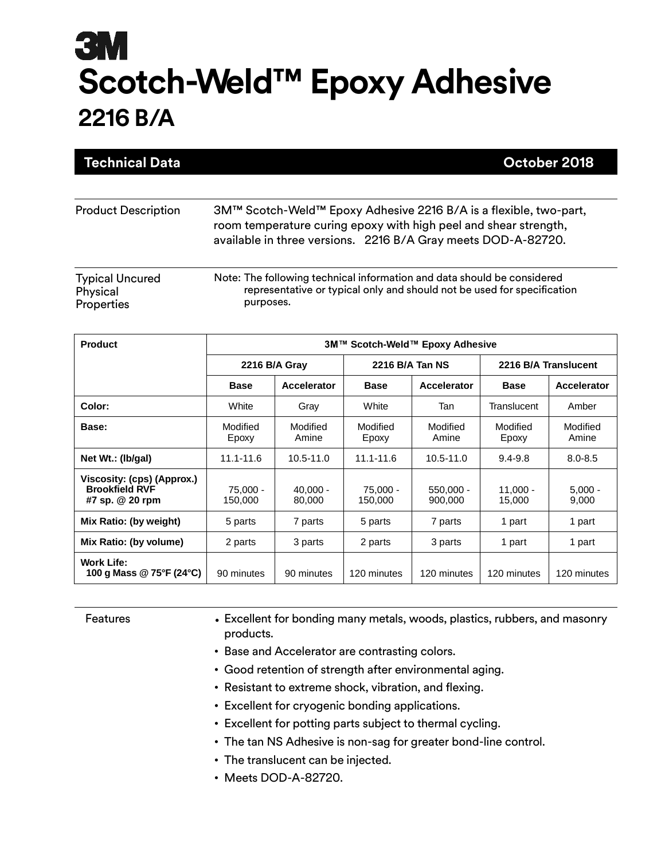| <b>Technical Data</b>                            | October 2018                                                                                                                                                                                           |
|--------------------------------------------------|--------------------------------------------------------------------------------------------------------------------------------------------------------------------------------------------------------|
|                                                  |                                                                                                                                                                                                        |
| <b>Product Description</b>                       | 3M™ Scotch-Weld™ Epoxy Adhesive 2216 B/A is a flexible, two-part,<br>room temperature curing epoxy with high peel and shear strength,<br>available in three versions. 2216 B/A Gray meets DOD-A-82720. |
| <b>Typical Uncured</b><br>Physical<br>Properties | Note: The following technical information and data should be considered<br>representative or typical only and should not be used for specification<br>purposes.                                        |

| <b>Product</b>                                                         | 3M™ Scotch-Weld™ Epoxy Adhesive |                      |                     |                        |                      |                      |  |
|------------------------------------------------------------------------|---------------------------------|----------------------|---------------------|------------------------|----------------------|----------------------|--|
|                                                                        |                                 | 2216 B/A Gray        |                     | 2216 B/A Tan NS        |                      | 2216 B/A Translucent |  |
|                                                                        | <b>Base</b>                     | Accelerator          | <b>Base</b>         | Accelerator            | <b>Base</b>          | Accelerator          |  |
| Color:                                                                 | White                           | Gray                 | White               | Tan                    | Translucent          | Amber                |  |
| Base:                                                                  | Modified<br>Epoxy               | Modified<br>Amine    | Modified<br>Epoxy   | Modified<br>Amine      | Modified<br>Epoxy    | Modified<br>Amine    |  |
| Net Wt.: (Ib/gal)                                                      | $11.1 - 11.6$                   | 10.5-11.0            | $11.1 - 11.6$       | $10.5 - 11.0$          | $9.4 - 9.8$          | $8.0 - 8.5$          |  |
| Viscosity: (cps) (Approx.)<br><b>Brookfield RVF</b><br>#7 sp. @ 20 rpm | 75.000 -<br>150,000             | $40.000 -$<br>80,000 | 75.000 -<br>150,000 | $550.000 -$<br>900,000 | $11.000 -$<br>15,000 | $5,000 -$<br>9,000   |  |
| Mix Ratio: (by weight)                                                 | 5 parts                         | 7 parts              | 5 parts             | 7 parts                | 1 part               | 1 part               |  |
| Mix Ratio: (by volume)                                                 | 2 parts                         | 3 parts              | 2 parts             | 3 parts                | 1 part               | 1 part               |  |
| <b>Work Life:</b><br>100 g Mass @ 75°F (24°C)                          | 90 minutes                      | 90 minutes           | 120 minutes         | 120 minutes            | 120 minutes          | 120 minutes          |  |

- Features Excellent for bonding many metals, woods, plastics, rubbers, and masonry products.
	- Base and Accelerator are contrasting colors.
	- Good retention of strength after environmental aging.
	- Resistant to extreme shock, vibration, and flexing.
	- Excellent for cryogenic bonding applications.
	- Excellent for potting parts subject to thermal cycling.
	- The tan NS Adhesive is non-sag for greater bond-line control.
	- The translucent can be injected.
	- Meets DOD-A-82720.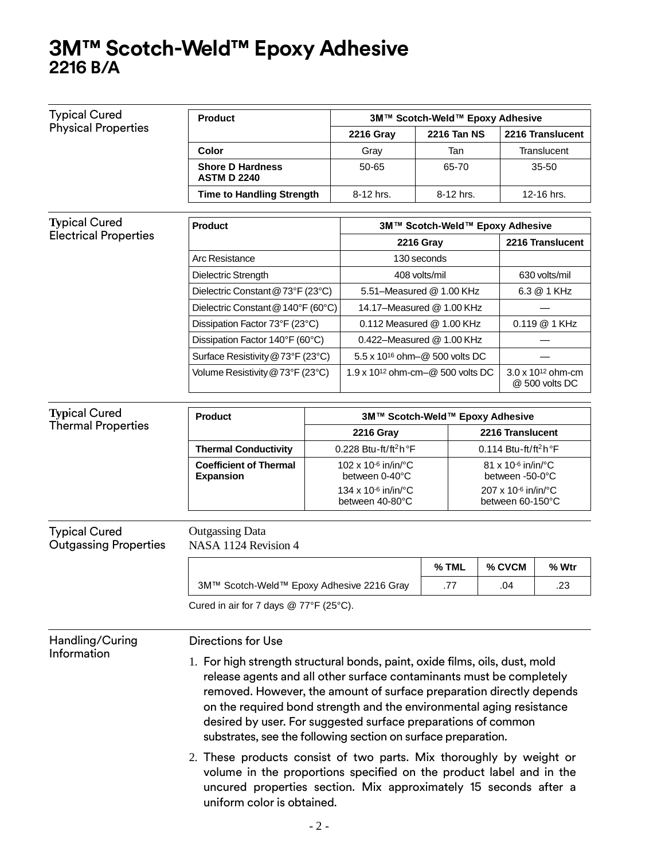| <b>Typical Cured</b>                                 | <b>Product</b>                                                                                                                                                                                                                                                                                                                                                                                                                                                                                               |                     | 3M™ Scotch-Weld™ Epoxy Adhesive                                                   |                  |                  |                                       |  |                                               |
|------------------------------------------------------|--------------------------------------------------------------------------------------------------------------------------------------------------------------------------------------------------------------------------------------------------------------------------------------------------------------------------------------------------------------------------------------------------------------------------------------------------------------------------------------------------------------|---------------------|-----------------------------------------------------------------------------------|------------------|------------------|---------------------------------------|--|-----------------------------------------------|
| <b>Physical Properties</b>                           |                                                                                                                                                                                                                                                                                                                                                                                                                                                                                                              |                     | <b>2216 Gray</b>                                                                  |                  | 2216 Tan NS      |                                       |  | 2216 Translucent                              |
|                                                      | Color                                                                                                                                                                                                                                                                                                                                                                                                                                                                                                        |                     | Gray                                                                              |                  | Tan              |                                       |  | Translucent                                   |
|                                                      | <b>Shore D Hardness</b><br><b>ASTM D 2240</b>                                                                                                                                                                                                                                                                                                                                                                                                                                                                |                     | 50-65                                                                             |                  | 65-70            |                                       |  | 35-50                                         |
|                                                      | <b>Time to Handling Strength</b>                                                                                                                                                                                                                                                                                                                                                                                                                                                                             |                     | 8-12 hrs.                                                                         |                  | 8-12 hrs.        |                                       |  | 12-16 hrs.                                    |
|                                                      |                                                                                                                                                                                                                                                                                                                                                                                                                                                                                                              |                     |                                                                                   |                  |                  |                                       |  |                                               |
| <b>Typical Cured</b><br><b>Electrical Properties</b> | <b>Product</b>                                                                                                                                                                                                                                                                                                                                                                                                                                                                                               |                     | 3M™ Scotch-Weld™ Epoxy Adhesive                                                   |                  |                  |                                       |  |                                               |
|                                                      |                                                                                                                                                                                                                                                                                                                                                                                                                                                                                                              |                     |                                                                                   | <b>2216 Gray</b> |                  |                                       |  | 2216 Translucent                              |
|                                                      | Arc Resistance                                                                                                                                                                                                                                                                                                                                                                                                                                                                                               |                     |                                                                                   | 130 seconds      |                  |                                       |  |                                               |
|                                                      | Dielectric Strength                                                                                                                                                                                                                                                                                                                                                                                                                                                                                          |                     |                                                                                   | 408 volts/mil    |                  |                                       |  | 630 volts/mil                                 |
|                                                      | Dielectric Constant @ 73°F (23°C)                                                                                                                                                                                                                                                                                                                                                                                                                                                                            |                     | 5.51-Measured @ 1.00 KHz                                                          |                  |                  |                                       |  | 6.3 @ 1 KHz                                   |
|                                                      | Dielectric Constant @ 140°F (60°C)                                                                                                                                                                                                                                                                                                                                                                                                                                                                           |                     | 14.17-Measured @ 1.00 KHz                                                         |                  |                  |                                       |  |                                               |
|                                                      | Dissipation Factor 73°F (23°C)                                                                                                                                                                                                                                                                                                                                                                                                                                                                               |                     | 0.112 Measured @ 1.00 KHz                                                         |                  |                  |                                       |  | 0.119 @ 1 KHz                                 |
|                                                      | Dissipation Factor 140°F (60°C)                                                                                                                                                                                                                                                                                                                                                                                                                                                                              |                     | 0.422-Measured @ 1.00 KHz                                                         |                  |                  |                                       |  |                                               |
|                                                      | Surface Resistivity @ 73°F (23°C)                                                                                                                                                                                                                                                                                                                                                                                                                                                                            |                     | 5.5 x 10 <sup>16</sup> ohm-@ 500 volts DC                                         |                  |                  |                                       |  |                                               |
|                                                      | Volume Resistivity @ 73°F (23°C)                                                                                                                                                                                                                                                                                                                                                                                                                                                                             |                     | 1.9 x 10 <sup>12</sup> ohm-cm-@ 500 volts DC                                      |                  |                  |                                       |  | $3.0 \times 10^{12}$ ohm-cm<br>@ 500 volts DC |
| <b>Typical Cured</b>                                 |                                                                                                                                                                                                                                                                                                                                                                                                                                                                                                              |                     |                                                                                   |                  |                  |                                       |  |                                               |
| <b>Thermal Properties</b>                            | <b>Product</b>                                                                                                                                                                                                                                                                                                                                                                                                                                                                                               |                     | 3M™ Scotch-Weld™ Epoxy Adhesive                                                   |                  |                  |                                       |  |                                               |
|                                                      |                                                                                                                                                                                                                                                                                                                                                                                                                                                                                                              |                     | <b>2216 Gray</b>                                                                  |                  | 2216 Translucent |                                       |  |                                               |
|                                                      | <b>Thermal Conductivity</b>                                                                                                                                                                                                                                                                                                                                                                                                                                                                                  |                     | 0.228 Btu-ft/ft <sup>2</sup> h $\mathrm{P}$ F<br>0.114 Btu-ft/ft <sup>2</sup> h°F |                  |                  |                                       |  |                                               |
|                                                      | <b>Coefficient of Thermal</b><br><b>Expansion</b>                                                                                                                                                                                                                                                                                                                                                                                                                                                            |                     | 102 x 10 $-6$ in/in/ $°C$<br>between 0-40°C                                       |                  |                  | 81 x 10-6 in/in/°C<br>between -50-0°C |  |                                               |
|                                                      |                                                                                                                                                                                                                                                                                                                                                                                                                                                                                                              | 134 x 10-6 in/in/°C |                                                                                   |                  |                  | 207 x 10-6 in/in/°C                   |  |                                               |
|                                                      |                                                                                                                                                                                                                                                                                                                                                                                                                                                                                                              |                     | between 40-80°C                                                                   |                  |                  | between 60-150°C                      |  |                                               |
| <b>Typical Cured</b><br><b>Outgassing Properties</b> | <b>Outgassing Data</b><br>NASA 1124 Revision 4                                                                                                                                                                                                                                                                                                                                                                                                                                                               |                     |                                                                                   |                  |                  |                                       |  |                                               |
|                                                      |                                                                                                                                                                                                                                                                                                                                                                                                                                                                                                              |                     |                                                                                   |                  | % TML            | % CVCM                                |  | % Wtr                                         |
|                                                      | 3M™ Scotch-Weld™ Epoxy Adhesive 2216 Gray                                                                                                                                                                                                                                                                                                                                                                                                                                                                    |                     |                                                                                   |                  | .77              | .04                                   |  | .23                                           |
|                                                      | Cured in air for 7 days @ 77°F (25°C).                                                                                                                                                                                                                                                                                                                                                                                                                                                                       |                     |                                                                                   |                  |                  |                                       |  |                                               |
| Handling/Curing                                      | <b>Directions for Use</b>                                                                                                                                                                                                                                                                                                                                                                                                                                                                                    |                     |                                                                                   |                  |                  |                                       |  |                                               |
| Information                                          | 1. For high strength structural bonds, paint, oxide films, oils, dust, mold<br>release agents and all other surface contaminants must be completely<br>removed. However, the amount of surface preparation directly depends<br>on the required bond strength and the environmental aging resistance<br>desired by user. For suggested surface preparations of common<br>substrates, see the following section on surface preparation.<br>2. These products consist of two parts. Mix thoroughly by weight or |                     |                                                                                   |                  |                  |                                       |  |                                               |
|                                                      | volume in the proportions specified on the product label and in the<br>uncured properties section. Mix approximately 15 seconds after a<br>uniform color is obtained.                                                                                                                                                                                                                                                                                                                                        |                     |                                                                                   |                  |                  |                                       |  |                                               |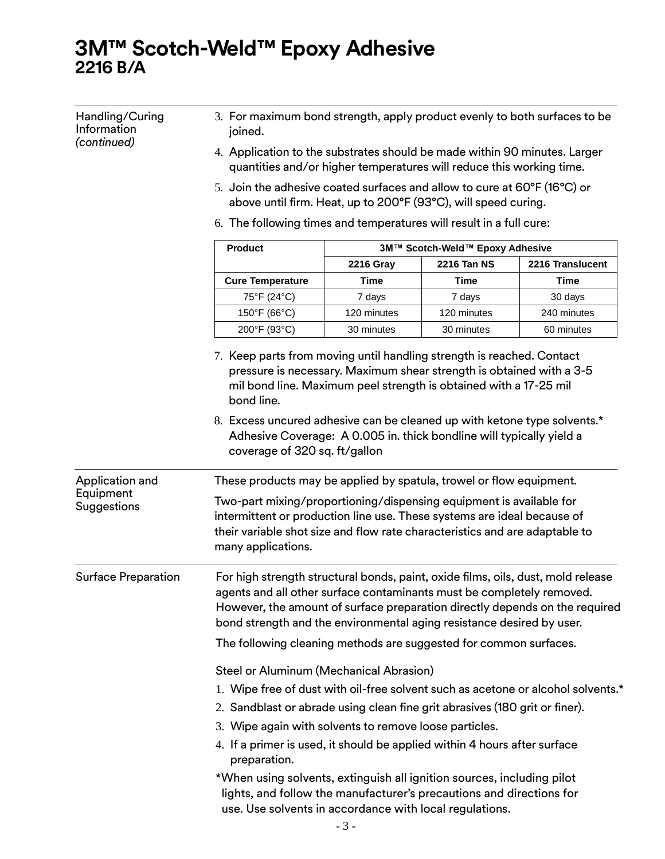| Handling/Curing<br>Information<br>(continued) | 3. For maximum bond strength, apply product evenly to both surfaces to be<br>joined.                                                                                                                                                                                                                              |                  |                                 |                                                                                  |  |  |  |
|-----------------------------------------------|-------------------------------------------------------------------------------------------------------------------------------------------------------------------------------------------------------------------------------------------------------------------------------------------------------------------|------------------|---------------------------------|----------------------------------------------------------------------------------|--|--|--|
|                                               | 4. Application to the substrates should be made within 90 minutes. Larger<br>quantities and/or higher temperatures will reduce this working time.                                                                                                                                                                 |                  |                                 |                                                                                  |  |  |  |
|                                               | 5. Join the adhesive coated surfaces and allow to cure at 60°F (16°C) or<br>above until firm. Heat, up to 200°F (93°C), will speed curing.                                                                                                                                                                        |                  |                                 |                                                                                  |  |  |  |
|                                               | 6. The following times and temperatures will result in a full cure:                                                                                                                                                                                                                                               |                  |                                 |                                                                                  |  |  |  |
|                                               | <b>Product</b>                                                                                                                                                                                                                                                                                                    |                  | 3M™ Scotch-Weld™ Epoxy Adhesive |                                                                                  |  |  |  |
|                                               |                                                                                                                                                                                                                                                                                                                   | <b>2216 Gray</b> | <b>2216 Tan NS</b>              | 2216 Translucent                                                                 |  |  |  |
|                                               | <b>Cure Temperature</b>                                                                                                                                                                                                                                                                                           | Time             | Time                            | <b>Time</b>                                                                      |  |  |  |
|                                               | 75°F (24°C)                                                                                                                                                                                                                                                                                                       | 7 days           | 7 days                          | 30 days                                                                          |  |  |  |
|                                               | 150°F (66°C)                                                                                                                                                                                                                                                                                                      | 120 minutes      | 120 minutes                     | 240 minutes                                                                      |  |  |  |
|                                               | 200°F (93°C)                                                                                                                                                                                                                                                                                                      | 30 minutes       | 30 minutes                      | 60 minutes                                                                       |  |  |  |
|                                               | 7. Keep parts from moving until handling strength is reached. Contact<br>pressure is necessary. Maximum shear strength is obtained with a 3-5<br>mil bond line. Maximum peel strength is obtained with a 17-25 mil<br>bond line.                                                                                  |                  |                                 |                                                                                  |  |  |  |
|                                               | 8. Excess uncured adhesive can be cleaned up with ketone type solvents.*<br>Adhesive Coverage: A 0.005 in. thick bondline will typically yield a<br>coverage of 320 sq. ft/gallon                                                                                                                                 |                  |                                 |                                                                                  |  |  |  |
| Application and                               | These products may be applied by spatula, trowel or flow equipment.                                                                                                                                                                                                                                               |                  |                                 |                                                                                  |  |  |  |
| Equipment<br>Suggestions                      | Two-part mixing/proportioning/dispensing equipment is available for<br>intermittent or production line use. These systems are ideal because of<br>their variable shot size and flow rate characteristics and are adaptable to<br>many applications.                                                               |                  |                                 |                                                                                  |  |  |  |
| <b>Surface Preparation</b>                    | For high strength structural bonds, paint, oxide films, oils, dust, mold release<br>agents and all other surface contaminants must be completely removed.<br>However, the amount of surface preparation directly depends on the required<br>bond strength and the environmental aging resistance desired by user. |                  |                                 |                                                                                  |  |  |  |
|                                               | The following cleaning methods are suggested for common surfaces.                                                                                                                                                                                                                                                 |                  |                                 |                                                                                  |  |  |  |
|                                               | Steel or Aluminum (Mechanical Abrasion)                                                                                                                                                                                                                                                                           |                  |                                 |                                                                                  |  |  |  |
|                                               |                                                                                                                                                                                                                                                                                                                   |                  |                                 | 1. Wipe free of dust with oil-free solvent such as acetone or alcohol solvents.* |  |  |  |
|                                               |                                                                                                                                                                                                                                                                                                                   |                  |                                 |                                                                                  |  |  |  |
|                                               | 2. Sandblast or abrade using clean fine grit abrasives (180 grit or finer).<br>3. Wipe again with solvents to remove loose particles.                                                                                                                                                                             |                  |                                 |                                                                                  |  |  |  |
|                                               | 4. If a primer is used, it should be applied within 4 hours after surface<br>preparation.                                                                                                                                                                                                                         |                  |                                 |                                                                                  |  |  |  |
|                                               | *When using solvents, extinguish all ignition sources, including pilot<br>lights, and follow the manufacturer's precautions and directions for<br>use. Use solvents in accordance with local regulations.                                                                                                         |                  |                                 |                                                                                  |  |  |  |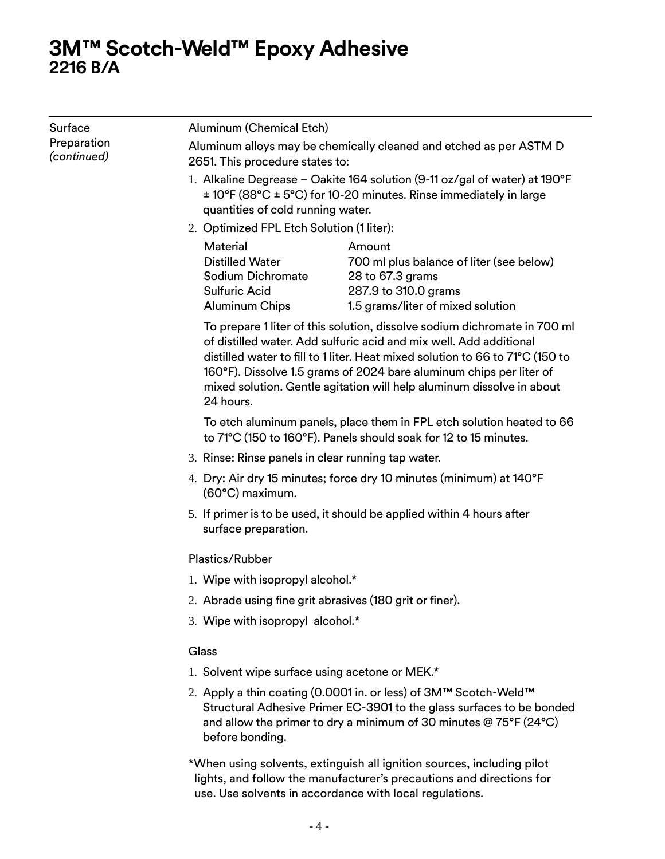| Surface                    | Aluminum (Chemical Etch)                                                                                                                                                                                                                                                                                                                                                                      |                                                                            |  |  |  |  |  |
|----------------------------|-----------------------------------------------------------------------------------------------------------------------------------------------------------------------------------------------------------------------------------------------------------------------------------------------------------------------------------------------------------------------------------------------|----------------------------------------------------------------------------|--|--|--|--|--|
| Preparation<br>(continued) | Aluminum alloys may be chemically cleaned and etched as per ASTM D<br>2651. This procedure states to:                                                                                                                                                                                                                                                                                         |                                                                            |  |  |  |  |  |
|                            | ± 10°F (88°C ± 5°C) for 10-20 minutes. Rinse immediately in large<br>quantities of cold running water.                                                                                                                                                                                                                                                                                        | 1. Alkaline Degrease - Oakite 164 solution (9-11 oz/gal of water) at 190°F |  |  |  |  |  |
|                            | 2. Optimized FPL Etch Solution (1 liter):                                                                                                                                                                                                                                                                                                                                                     |                                                                            |  |  |  |  |  |
|                            | Material<br>Amount<br><b>Distilled Water</b><br>700 ml plus balance of liter (see below)<br>Sodium Dichromate<br>28 to 67.3 grams<br><b>Sulfuric Acid</b><br>287.9 to 310.0 grams<br><b>Aluminum Chips</b><br>1.5 grams/liter of mixed solution                                                                                                                                               |                                                                            |  |  |  |  |  |
|                            | To prepare 1 liter of this solution, dissolve sodium dichromate in 700 ml<br>of distilled water. Add sulfuric acid and mix well. Add additional<br>distilled water to fill to 1 liter. Heat mixed solution to 66 to 71°C (150 to<br>160°F). Dissolve 1.5 grams of 2024 bare aluminum chips per liter of<br>mixed solution. Gentle agitation will help aluminum dissolve in about<br>24 hours. |                                                                            |  |  |  |  |  |
|                            | To etch aluminum panels, place them in FPL etch solution heated to 66<br>to 71°C (150 to 160°F). Panels should soak for 12 to 15 minutes.                                                                                                                                                                                                                                                     |                                                                            |  |  |  |  |  |
|                            | 3. Rinse: Rinse panels in clear running tap water.                                                                                                                                                                                                                                                                                                                                            |                                                                            |  |  |  |  |  |
|                            | 4. Dry: Air dry 15 minutes; force dry 10 minutes (minimum) at 140°F<br>(60°C) maximum.                                                                                                                                                                                                                                                                                                        |                                                                            |  |  |  |  |  |
|                            | 5. If primer is to be used, it should be applied within 4 hours after<br>surface preparation.                                                                                                                                                                                                                                                                                                 |                                                                            |  |  |  |  |  |
|                            | Plastics/Rubber                                                                                                                                                                                                                                                                                                                                                                               |                                                                            |  |  |  |  |  |
|                            | 1. Wipe with isopropyl alcohol.*                                                                                                                                                                                                                                                                                                                                                              |                                                                            |  |  |  |  |  |
|                            | 2. Abrade using fine grit abrasives (180 grit or finer).                                                                                                                                                                                                                                                                                                                                      |                                                                            |  |  |  |  |  |
|                            | 3. Wipe with isopropyl alcohol.*                                                                                                                                                                                                                                                                                                                                                              |                                                                            |  |  |  |  |  |
|                            | Glass                                                                                                                                                                                                                                                                                                                                                                                         |                                                                            |  |  |  |  |  |
|                            | 1. Solvent wipe surface using acetone or MEK.*                                                                                                                                                                                                                                                                                                                                                |                                                                            |  |  |  |  |  |
|                            | 2. Apply a thin coating (0.0001 in. or less) of 3M™ Scotch-Weld™<br>Structural Adhesive Primer EC-3901 to the glass surfaces to be bonded<br>and allow the primer to dry a minimum of 30 minutes $@75^{\circ}F(24^{\circ}C)$<br>before bonding.                                                                                                                                               |                                                                            |  |  |  |  |  |
|                            | *When using solvents, extinguish all ignition sources, including pilot                                                                                                                                                                                                                                                                                                                        |                                                                            |  |  |  |  |  |

\*When using solvents, extinguish all ignition sources, including pilot lights, and follow the manufacturer's precautions and directions for use. Use solvents in accordance with local regulations.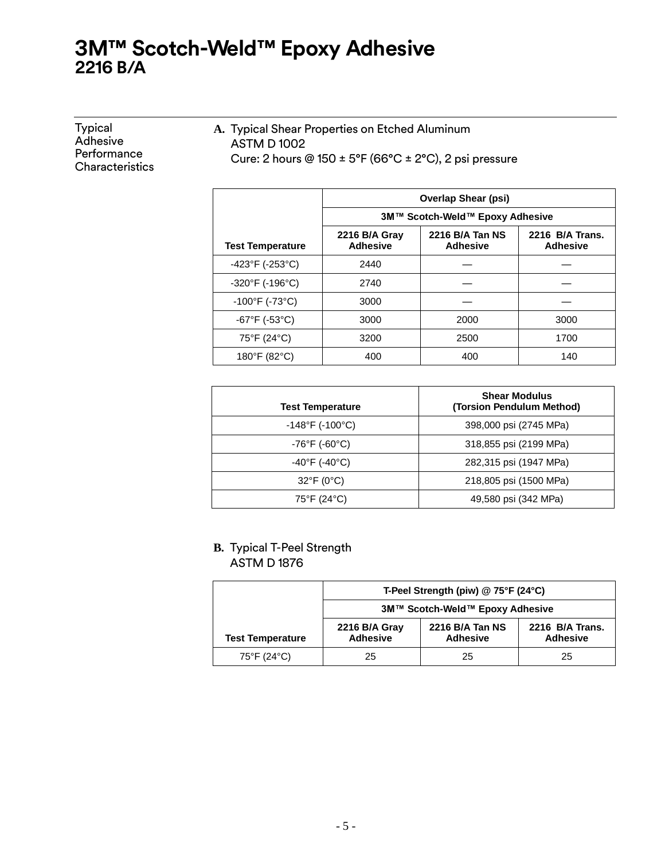| A. Typical Shear Properties on Etched Aluminum<br><b>ASTM D1002</b><br>Cure: 2 hours @ 150 $\pm$ 5°F (66°C $\pm$ 2°C), 2 psi pressure |  |
|---------------------------------------------------------------------------------------------------------------------------------------|--|
|                                                                                                                                       |  |

|                                      | <b>Overlap Shear (psi)</b>                                                                                   |                                 |      |  |  |  |
|--------------------------------------|--------------------------------------------------------------------------------------------------------------|---------------------------------|------|--|--|--|
|                                      |                                                                                                              | 3M™ Scotch-Weld™ Epoxy Adhesive |      |  |  |  |
| <b>Test Temperature</b>              | 2216 B/A Tan NS<br>2216 B/A Trans.<br>2216 B/A Gray<br><b>Adhesive</b><br><b>Adhesive</b><br><b>Adhesive</b> |                                 |      |  |  |  |
| $-423^{\circ}F$ (-253 $^{\circ}C$ )  | 2440                                                                                                         |                                 |      |  |  |  |
| $-320^{\circ}$ F (-196 $^{\circ}$ C) | 2740                                                                                                         |                                 |      |  |  |  |
| $-100^{\circ}$ F (-73°C)             | 3000                                                                                                         |                                 |      |  |  |  |
| $-67^{\circ}F( -53^{\circ}C)$        | 3000                                                                                                         | 2000                            | 3000 |  |  |  |
| 75°F (24°C)                          | 3200                                                                                                         | 2500                            | 1700 |  |  |  |
| 180°F (82°C)                         | 400                                                                                                          | 400                             | 140  |  |  |  |

| <b>Test Temperature</b>              | <b>Shear Modulus</b><br>(Torsion Pendulum Method) |
|--------------------------------------|---------------------------------------------------|
| $-148^{\circ}$ F (-100 $^{\circ}$ C) | 398,000 psi (2745 MPa)                            |
| $-76^{\circ}$ F (-60 $^{\circ}$ C)   | 318,855 psi (2199 MPa)                            |
| $-40^{\circ}$ F (-40 $^{\circ}$ C)   | 282,315 psi (1947 MPa)                            |
| $32^{\circ}F(0^{\circ}C)$            | 218,805 psi (1500 MPa)                            |
| 75°F (24°C)                          | 49,580 psi (342 MPa)                              |

### **B.** Typical T-Peel Strength ASTM D 1876

|                         | T-Peel Strength (piw) $@$ 75°F (24°C) |                                    |                                    |  |  |
|-------------------------|---------------------------------------|------------------------------------|------------------------------------|--|--|
|                         | 3M™ Scotch-Weld™ Epoxy Adhesive       |                                    |                                    |  |  |
| <b>Test Temperature</b> | 2216 B/A Gray<br><b>Adhesive</b>      | 2216 B/A Tan NS<br><b>Adhesive</b> | 2216 B/A Trans.<br><b>Adhesive</b> |  |  |
| 75°F (24°C)             | 25                                    | 25                                 | 25                                 |  |  |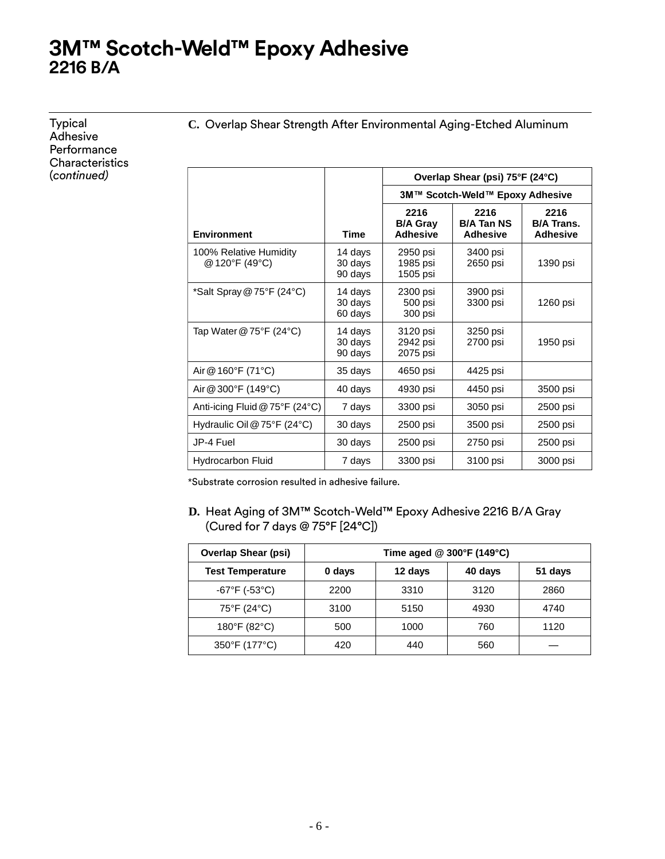Typical **Adhesive Performance Characteristics** (*continued)*

**C.** Overlap Shear Strength After Environmental Aging-Etched Aluminum

|                                          |                               | Overlap Shear (psi) 75°F (24°C)            |                                              |                                              |
|------------------------------------------|-------------------------------|--------------------------------------------|----------------------------------------------|----------------------------------------------|
|                                          |                               |                                            | 3M™ Scotch-Weld™ Epoxy Adhesive              |                                              |
| <b>Environment</b>                       | <b>Time</b>                   | 2216<br><b>B/A Gray</b><br><b>Adhesive</b> | 2216<br><b>B/A Tan NS</b><br><b>Adhesive</b> | 2216<br><b>B/A Trans.</b><br><b>Adhesive</b> |
| 100% Relative Humidity<br>@ 120°F (49°C) | 14 days<br>30 days<br>90 days | 2950 psi<br>1985 psi<br>1505 psi           | 3400 psi<br>2650 psi                         | 1390 psi                                     |
| *Salt Spray @ 75°F (24°C)                | 14 days<br>30 days<br>60 days | 2300 psi<br>500 psi<br>300 psi             | 3900 psi<br>3300 psi                         | 1260 psi                                     |
| Tap Water $@75^{\circ}F(24^{\circ}C)$    | 14 days<br>30 days<br>90 days | 3120 psi<br>2942 psi<br>2075 psi           | 3250 psi<br>2700 psi                         | 1950 psi                                     |
| Air @ 160°F (71°C)                       | 35 days                       | 4650 psi                                   | 4425 psi                                     |                                              |
| Air @ 300°F (149°C)                      | 40 days                       | 4930 psi                                   | 4450 psi                                     | 3500 psi                                     |
| Anti-icing Fluid @ 75°F (24°C)           | 7 days                        | 3300 psi                                   | 3050 psi                                     | 2500 psi                                     |
| Hydraulic Oil @ 75°F (24°C)              | 30 days                       | 2500 psi                                   | 3500 psi                                     | 2500 psi                                     |
| JP-4 Fuel                                | 30 days                       | 2500 psi                                   | 2750 psi                                     | 2500 psi                                     |
| <b>Hydrocarbon Fluid</b>                 | 7 days                        | 3300 psi                                   | 3100 psi                                     | 3000 psi                                     |

\*Substrate corrosion resulted in adhesive failure.

**D.** Heat Aging of 3M™ Scotch-Weld™ Epoxy Adhesive 2216 B/A Gray (Cured for 7 days @ 75°F [24°C])

| <b>Overlap Shear (psi)</b>    | Time aged @ 300°F (149°C) |         |         |         |  |  |
|-------------------------------|---------------------------|---------|---------|---------|--|--|
| <b>Test Temperature</b>       | 0 days                    | 12 days | 40 days | 51 days |  |  |
| $-67^{\circ}F( -53^{\circ}C)$ | 2200                      | 3310    | 3120    | 2860    |  |  |
| 75°F (24°C)                   | 3100                      | 5150    | 4930    | 4740    |  |  |
| 180°F (82°C)                  | 500                       | 1000    | 760     | 1120    |  |  |
| 350°F (177°C)                 | 420                       | 440     | 560     |         |  |  |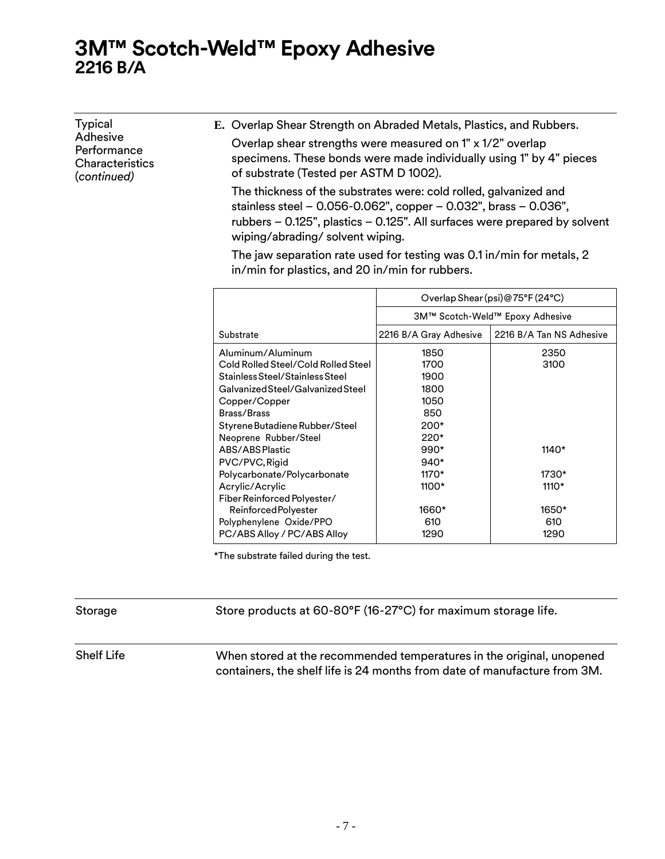Typical Adhesive **Performance** Characteristics (*continued)* **E.** Overlap Shear Strength on Abraded Metals, Plastics, and Rubbers. Overlap shear strengths were measured on 1" x 1/2" overlap specimens. These bonds were made individually using 1" by 4" pieces of substrate (Tested per ASTM D 1002). The thickness of the substrates were: cold rolled, galvanized and

stainless steel – 0.056-0.062", copper – 0.032", brass – 0.036", rubbers – 0.125", plastics – 0.125". All surfaces were prepared by solvent wiping/abrading/ solvent wiping.

The jaw separation rate used for testing was 0.1 in/min for metals, 2 in/min for plastics, and 20 in/min for rubbers.

|                                     | Overlap Shear (psi)@75°F (24°C) |                          |  |  |  |
|-------------------------------------|---------------------------------|--------------------------|--|--|--|
|                                     | 3M™ Scotch-Weld™ Epoxy Adhesive |                          |  |  |  |
| Substrate                           | 2216 B/A Gray Adhesive          | 2216 B/A Tan NS Adhesive |  |  |  |
| Aluminum/Aluminum                   | 1850                            | 2350                     |  |  |  |
| Cold Rolled Steel/Cold Rolled Steel | 1700                            | 3100                     |  |  |  |
| Stainless Steel/Stainless Steel     | 1900                            |                          |  |  |  |
| Galvanized Steel/Galvanized Steel   | 1800                            |                          |  |  |  |
| Copper/Copper                       | 1050                            |                          |  |  |  |
| Brass/Brass                         | 850                             |                          |  |  |  |
| Styrene Butadiene Rubber/Steel      | $200*$                          |                          |  |  |  |
| Neoprene Rubber/Steel               | $220*$                          |                          |  |  |  |
| ABS/ABS Plastic                     | $990*$                          | $1140*$                  |  |  |  |
| PVC/PVC, Rigid                      | $940*$                          |                          |  |  |  |
| Polycarbonate/Polycarbonate         | 1170*                           | 1730*                    |  |  |  |
| Acrylic/Acrylic                     | 1100*                           | $1110*$                  |  |  |  |
| Fiber Reinforced Polyester/         |                                 |                          |  |  |  |
| Reinforced Polyester                | 1660*                           | 1650*                    |  |  |  |
| Polyphenylene Oxide/PPO             | 610                             | 610                      |  |  |  |
| PC/ABS Alloy / PC/ABS Alloy         | 1290                            | 1290                     |  |  |  |

\*The substrate failed during the test.

Storage Store products at 60-80°F (16-27°C) for maximum storage life.

Shelf Life When stored at the recommended temperatures in the original, unopened containers, the shelf life is 24 months from date of manufacture from 3M.